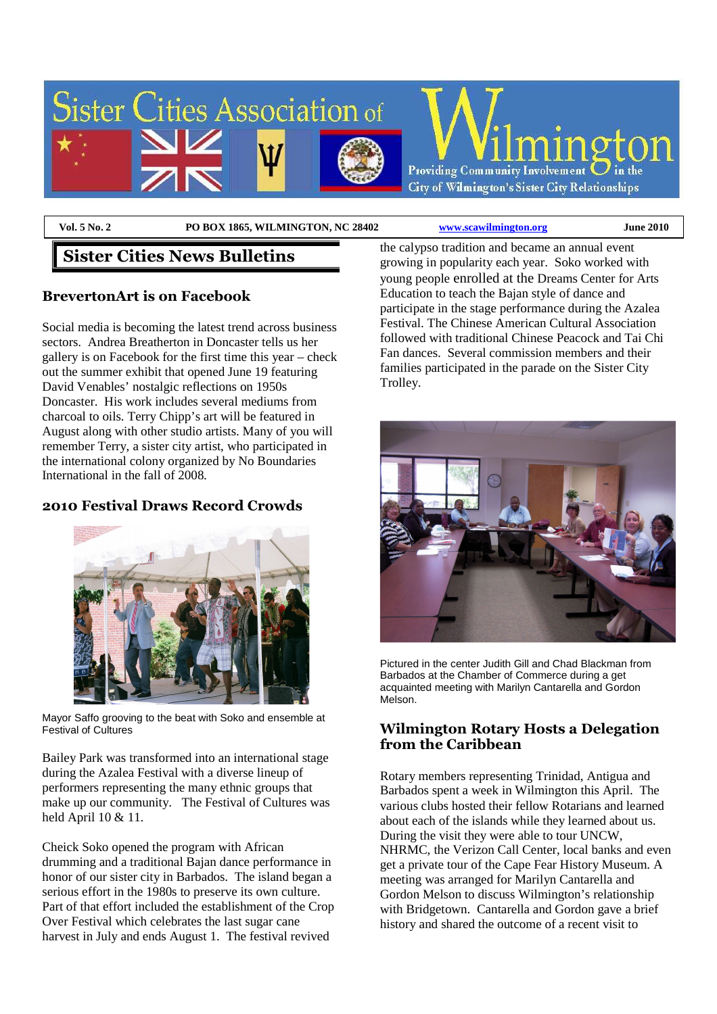

**Vol. 5 No. 2 PO BOX 1865, WILMINGTON, NC 28402 www.scawilmington.org June 2010** 

# **Sister Cities News Bulletins**

## **BrevertonArt is on Facebook**

Social media is becoming the latest trend across business sectors. Andrea Breatherton in Doncaster tells us her gallery is on Facebook for the first time this year – check out the summer exhibit that opened June 19 featuring David Venables' nostalgic reflections on 1950s Doncaster. His work includes several mediums from charcoal to oils. Terry Chipp's art will be featured in August along with other studio artists. Many of you will remember Terry, a sister city artist, who participated in the international colony organized by No Boundaries International in the fall of 2008.

### **2010 Festival Draws Record Crowds**



Mayor Saffo grooving to the beat with Soko and ensemble at Festival of Cultures

Bailey Park was transformed into an international stage during the Azalea Festival with a diverse lineup of performers representing the many ethnic groups that make up our community. The Festival of Cultures was held April 10 & 11.

Cheick Soko opened the program with African drumming and a traditional Bajan dance performance in honor of our sister city in Barbados. The island began a serious effort in the 1980s to preserve its own culture. Part of that effort included the establishment of the Crop Over Festival which celebrates the last sugar cane harvest in July and ends August 1. The festival revived

the calypso tradition and became an annual event growing in popularity each year. Soko worked with young people enrolled at the Dreams Center for Arts Education to teach the Bajan style of dance and participate in the stage performance during the Azalea Festival. The Chinese American Cultural Association followed with traditional Chinese Peacock and Tai Chi Fan dances. Several commission members and their families participated in the parade on the Sister City Trolley.



Pictured in the center Judith Gill and Chad Blackman from Barbados at the Chamber of Commerce during a get acquainted meeting with Marilyn Cantarella and Gordon Melson.

#### **Wilmington Rotary Hosts a Delegation from the Caribbean**

Rotary members representing Trinidad, Antigua and Barbados spent a week in Wilmington this April. The various clubs hosted their fellow Rotarians and learned about each of the islands while they learned about us. During the visit they were able to tour UNCW, NHRMC, the Verizon Call Center, local banks and even get a private tour of the Cape Fear History Museum. A meeting was arranged for Marilyn Cantarella and Gordon Melson to discuss Wilmington's relationship with Bridgetown. Cantarella and Gordon gave a brief history and shared the outcome of a recent visit to